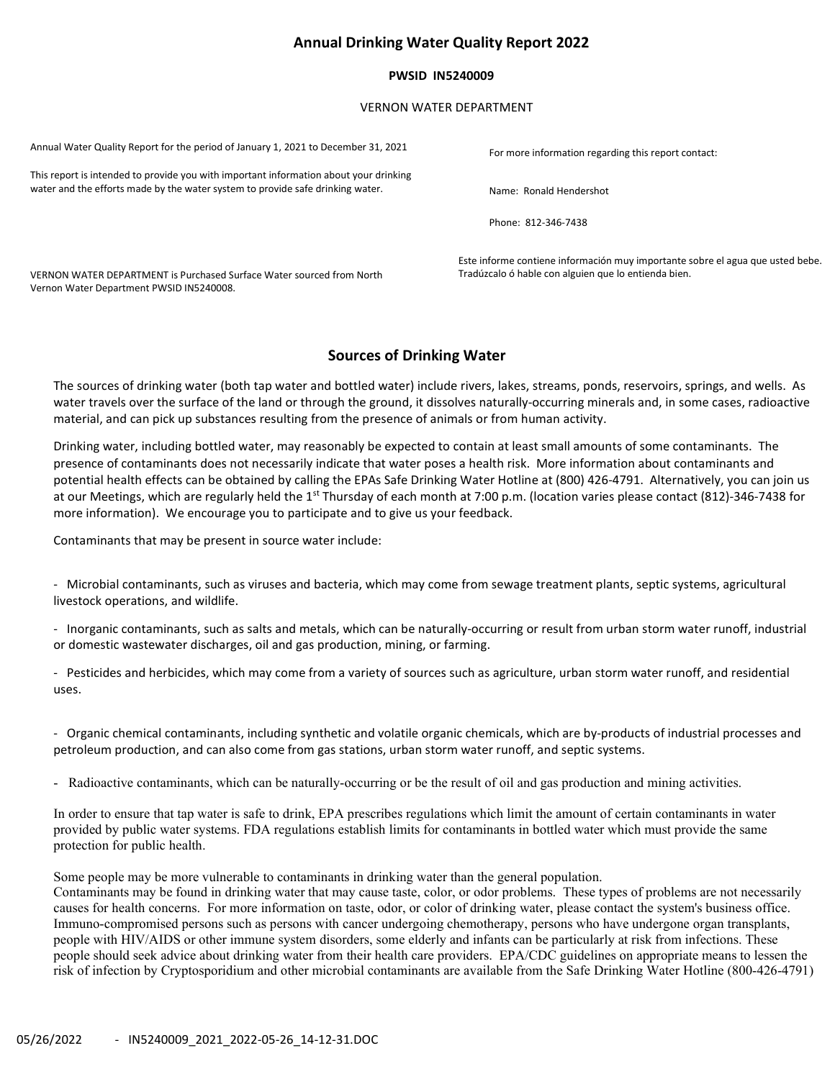# Annual Drinking Water Quality Report 2022

### PWSID IN5240009

### VERNON WATER DEPARTMENT

Annual Water Quality Report for the period of January 1, 2021 to December 31, 2021 For more information regarding this report contact: This report is intended to provide you with important information about your drinking water and the efforts made by the water system to provide safe drinking water. Name: Ronald Hendershot

Phone: 812-346-7438

Este informe contiene información muy importante sobre el agua que usted bebe. VERNON WATER DEPARTMENT is Purchased Surface Water sourced from North Tradúzcalo ó hable con alguien que lo entienda bien.

# Sources of Drinking Water

The sources of drinking water (both tap water and bottled water) include rivers, lakes, streams, ponds, reservoirs, springs, and wells. As water travels over the surface of the land or through the ground, it dissolves naturally-occurring minerals and, in some cases, radioactive material, and can pick up substances resulting from the presence of animals or from human activity.

Drinking water, including bottled water, may reasonably be expected to contain at least small amounts of some contaminants. The presence of contaminants does not necessarily indicate that water poses a health risk. More information about contaminants and potential health effects can be obtained by calling the EPAs Safe Drinking Water Hotline at (800) 426-4791. Alternatively, you can join us at our Meetings, which are regularly held the 1<sup>st</sup> Thursday of each month at 7:00 p.m. (location varies please contact (812)-346-7438 for more information). We encourage you to participate and to give us your feedback.

Contaminants that may be present in source water include:

Vernon Water Department PWSID IN5240008.

- Microbial contaminants, such as viruses and bacteria, which may come from sewage treatment plants, septic systems, agricultural livestock operations, and wildlife.

- Inorganic contaminants, such as salts and metals, which can be naturally-occurring or result from urban storm water runoff, industrial or domestic wastewater discharges, oil and gas production, mining, or farming.

- Pesticides and herbicides, which may come from a variety of sources such as agriculture, urban storm water runoff, and residential uses.

- Organic chemical contaminants, including synthetic and volatile organic chemicals, which are by-products of industrial processes and petroleum production, and can also come from gas stations, urban storm water runoff, and septic systems.

- Radioactive contaminants, which can be naturally-occurring or be the result of oil and gas production and mining activities.

In order to ensure that tap water is safe to drink, EPA prescribes regulations which limit the amount of certain contaminants in water provided by public water systems. FDA regulations establish limits for contaminants in bottled water which must provide the same protection for public health.

Some people may be more vulnerable to contaminants in drinking water than the general population.

Contaminants may be found in drinking water that may cause taste, color, or odor problems. These types of problems are not necessarily causes for health concerns. For more information on taste, odor, or color of drinking water, please contact the system's business office. Immuno-compromised persons such as persons with cancer undergoing chemotherapy, persons who have undergone organ transplants, people with HIV/AIDS or other immune system disorders, some elderly and infants can be particularly at risk from infections. These people should seek advice about drinking water from their health care providers. EPA/CDC guidelines on appropriate means to lessen the risk of infection by Cryptosporidium and other microbial contaminants are available from the Safe Drinking Water Hotline (800-426-4791)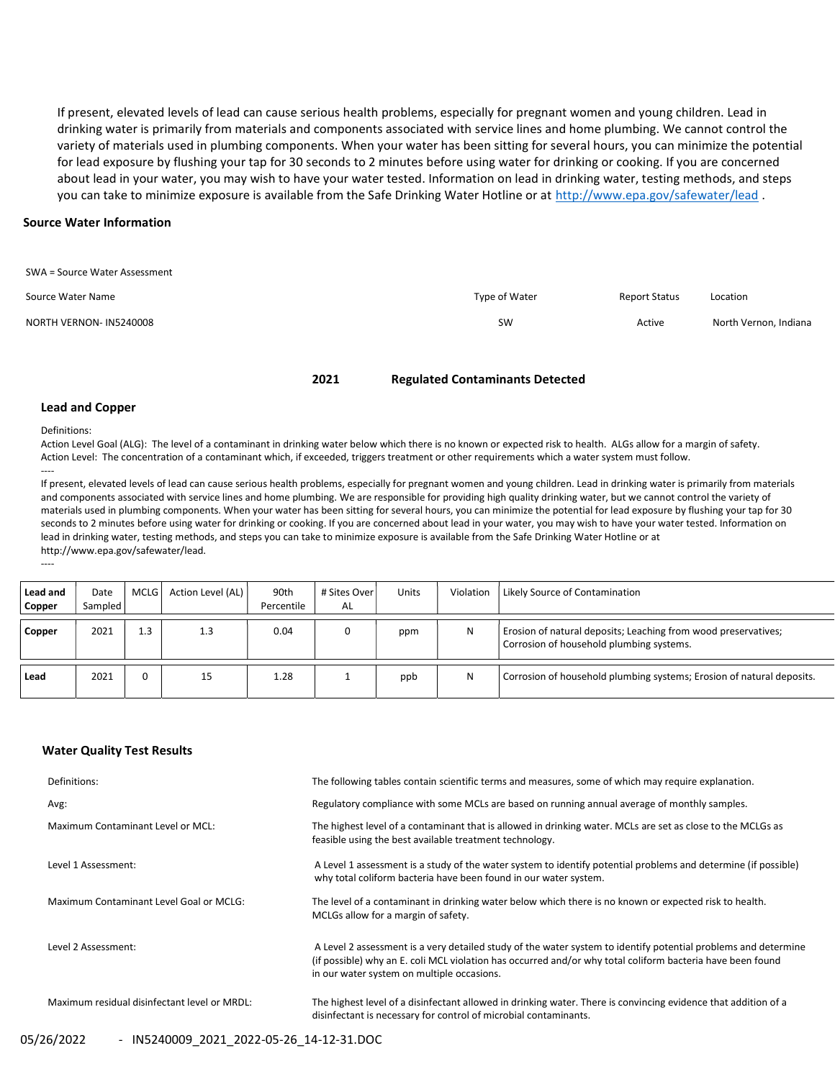If present, elevated levels of lead can cause serious health problems, especially for pregnant women and young children. Lead in drinking water is primarily from materials and components associated with service lines and home plumbing. We cannot control the variety of materials used in plumbing components. When your water has been sitting for several hours, you can minimize the potential for lead exposure by flushing your tap for 30 seconds to 2 minutes before using water for drinking or cooking. If you are concerned about lead in your water, you may wish to have your water tested. Information on lead in drinking water, testing methods, and steps you can take to minimize exposure is available from the Safe Drinking Water Hotline or at http://www.epa.gov/safewater/lead.

### Source Water Information

| SWA = Source Water Assessment |               |               |                       |
|-------------------------------|---------------|---------------|-----------------------|
| Source Water Name             | Type of Water | Report Status | Location              |
| NORTH VERNON- IN5240008       | <b>SW</b>     | Active        | North Vernon, Indiana |
|                               |               |               |                       |

#### 2021 Regulated Contaminants Detected

#### Lead and Copper

Definitions:

----

----

Action Level Goal (ALG): The level of a contaminant in drinking water below which there is no known or expected risk to health. ALGs allow for a margin of safety. Action Level: The concentration of a contaminant which, if exceeded, triggers treatment or other requirements which a water system must follow.

If present, elevated levels of lead can cause serious health problems, especially for pregnant women and young children. Lead in drinking water is primarily from materials and components associated with service lines and home plumbing. We are responsible for providing high quality drinking water, but we cannot control the variety of materials used in plumbing components. When your water has been sitting for several hours, you can minimize the potential for lead exposure by flushing your tap for 30 seconds to 2 minutes before using water for drinking or cooking. If you are concerned about lead in your water, you may wish to have your water tested. Information on lead in drinking water, testing methods, and steps you can take to minimize exposure is available from the Safe Drinking Water Hotline or at http://www.epa.gov/safewater/lead.

| Lead and<br>Copper | Date<br>Sampled | MCLG I | Action Level (AL) | 90th<br>Percentile | # Sites Over I<br>AL | Units | Violation | Likely Source of Contamination                                                                             |
|--------------------|-----------------|--------|-------------------|--------------------|----------------------|-------|-----------|------------------------------------------------------------------------------------------------------------|
| Copper             | 2021            | 1.3    | 1.3               | 0.04               |                      | ppm   | N         | Erosion of natural deposits; Leaching from wood preservatives;<br>Corrosion of household plumbing systems. |
| Lead               | 2021            |        | 15                | 1.28               |                      | ppb   | N         | Corrosion of household plumbing systems; Erosion of natural deposits.                                      |

### Water Quality Test Results

| Definitions:                                 | The following tables contain scientific terms and measures, some of which may require explanation.                                                                                                                                                                         |
|----------------------------------------------|----------------------------------------------------------------------------------------------------------------------------------------------------------------------------------------------------------------------------------------------------------------------------|
| Avg:                                         | Regulatory compliance with some MCLs are based on running annual average of monthly samples.                                                                                                                                                                               |
| Maximum Contaminant Level or MCL:            | The highest level of a contaminant that is allowed in drinking water. MCLs are set as close to the MCLGs as<br>feasible using the best available treatment technology.                                                                                                     |
| Level 1 Assessment:                          | A Level 1 assessment is a study of the water system to identify potential problems and determine (if possible)<br>why total coliform bacteria have been found in our water system.                                                                                         |
| Maximum Contaminant Level Goal or MCLG:      | The level of a contaminant in drinking water below which there is no known or expected risk to health.<br>MCLGs allow for a margin of safety.                                                                                                                              |
| Level 2 Assessment:                          | A Level 2 assessment is a very detailed study of the water system to identify potential problems and determine<br>(if possible) why an E. coli MCL violation has occurred and/or why total coliform bacteria have been found<br>in our water system on multiple occasions. |
| Maximum residual disinfectant level or MRDL: | The highest level of a disinfectant allowed in drinking water. There is convincing evidence that addition of a<br>disinfectant is necessary for control of microbial contaminants.                                                                                         |